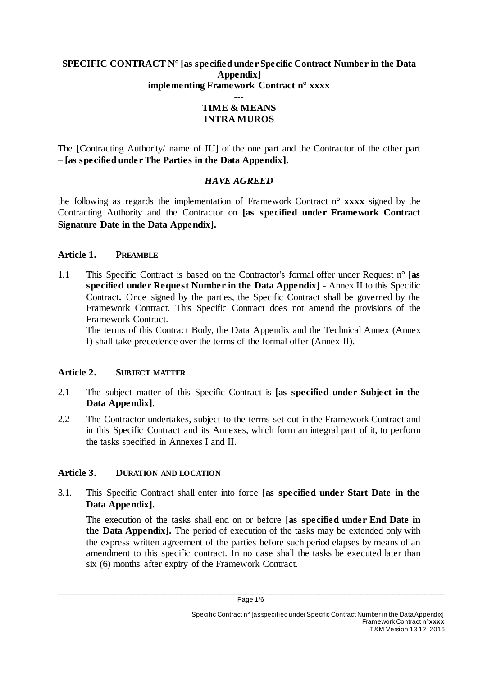### **SPECIFIC CONTRACT N° [as specified under Specific Contract Number in the Data Appendix] implementing Framework Contract n° xxxx**

#### **--- TIME & MEANS INTRA MUROS**

The [Contracting Authority/ name of JU] of the one part and the Contractor of the other part – **[as specified under The Parties in the Data Appendix].**

## *HAVE AGREED*

the following as regards the implementation of Framework Contract n° **xxxx** signed by the Contracting Authority and the Contractor on **[as specified under Framework Contract Signature Date in the Data Appendix].**

### **Article 1. PREAMBLE**

1.1 This Specific Contract is based on the Contractor's formal offer under Request n° **[as specified under Request Number in the Data Appendix] -** Annex II to this Specific Contract**.** Once signed by the parties, the Specific Contract shall be governed by the Framework Contract. This Specific Contract does not amend the provisions of the Framework Contract.

The terms of this Contract Body, the Data Appendix and the Technical Annex (Annex I) shall take precedence over the terms of the formal offer (Annex II).

### **Article 2. SUBJECT MATTER**

- 2.1 The subject matter of this Specific Contract is **[as specified under Subject in the Data Appendix]**.
- 2.2 The Contractor undertakes, subject to the terms set out in the Framework Contract and in this Specific Contract and its Annexes, which form an integral part of it, to perform the tasks specified in Annexes I and II.

# **Article 3. DURATION AND LOCATION**

3.1. This Specific Contract shall enter into force **[as specified under Start Date in the Data Appendix].**

The execution of the tasks shall end on or before **[as specified under End Date in the Data Appendix].** The period of execution of the tasks may be extended only with the express written agreement of the parties before such period elapses by means of an amendment to this specific contract. In no case shall the tasks be executed later than six (6) months after expiry of the Framework Contract.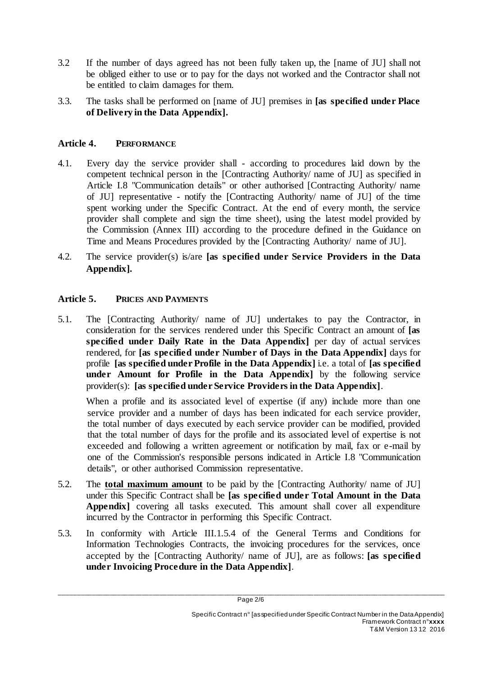- 3.2 If the number of days agreed has not been fully taken up, the [name of JU] shall not be obliged either to use or to pay for the days not worked and the Contractor shall not be entitled to claim damages for them.
- 3.3. The tasks shall be performed on [name of JU] premises in **[as specified under Place of Delivery in the Data Appendix].**

# **Article 4. PERFORMANCE**

- 4.1. Every day the service provider shall according to procedures laid down by the competent technical person in the [Contracting Authority/ name of JU] as specified in Article I.8 "Communication details" or other authorised [Contracting Authority/ name of JU] representative - notify the [Contracting Authority/ name of JU] of the time spent working under the Specific Contract. At the end of every month, the service provider shall complete and sign the time sheet), using the latest model provided by the Commission (Annex III) according to the procedure defined in the Guidance on Time and Means Procedures provided by the [Contracting Authority/ name of JU].
- 4.2. The service provider(s) is/are **[as specified under Service Providers in the Data Appendix].**

### **Article 5. PRICES AND PAYMENTS**

5.1. The [Contracting Authority/ name of JU] undertakes to pay the Contractor, in consideration for the services rendered under this Specific Contract an amount of **[as specified under Daily Rate in the Data Appendix]** per day of actual services rendered, for **[as specified under Number of Days in the Data Appendix]** days for profile **[as specified under Profile in the Data Appendix]** i.e. a total of **[as specified under Amount for Profile in the Data Appendix]** by the following service provider(s): **[as specified under Service Providers in the Data Appendix]**.

When a profile and its associated level of expertise (if any) include more than one service provider and a number of days has been indicated for each service provider, the total number of days executed by each service provider can be modified, provided that the total number of days for the profile and its associated level of expertise is not exceeded and following a written agreement or notification by mail, fax or e-mail by one of the Commission's responsible persons indicated in Article I.8 "Communication details", or other authorised Commission representative.

- 5.2. The **total maximum amount** to be paid by the [Contracting Authority/ name of JU] under this Specific Contract shall be **[as specified under Total Amount in the Data Appendix** covering all tasks executed. This amount shall cover all expenditure incurred by the Contractor in performing this Specific Contract.
- 5.3. In conformity with Article III.1.5.4 of the General Terms and Conditions for Information Technologies Contracts, the invoicing procedures for the services, once accepted by the [Contracting Authority/ name of JU], are as follows: **[as specified under Invoicing Procedure in the Data Appendix]**.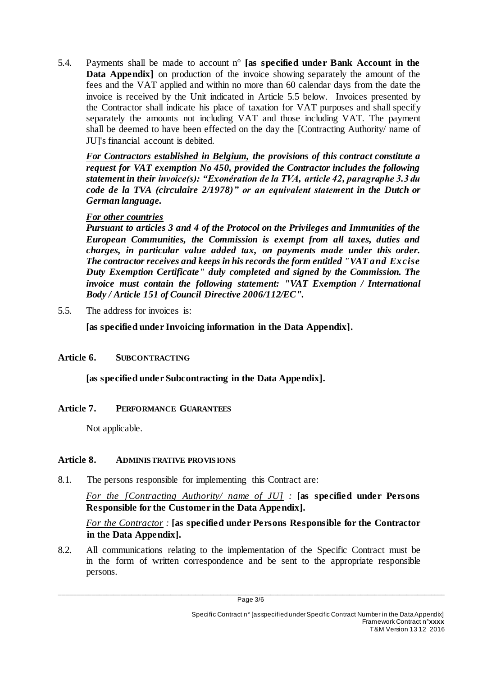5.4. Payments shall be made to account n° **[as specified under Bank Account in the Data Appendix** on production of the invoice showing separately the amount of the fees and the VAT applied and within no more than 60 calendar days from the date the invoice is received by the Unit indicated in Article 5.5 below. Invoices presented by the Contractor shall indicate his place of taxation for VAT purposes and shall specify separately the amounts not including VAT and those including VAT. The payment shall be deemed to have been effected on the day the [Contracting Authority/ name of JU]'s financial account is debited.

*For Contractors established in Belgium, the provisions of this contract constitute a request for VAT exemption No 450, provided the Contractor includes the following statement in their invoice(s): "Exonération de la TVA, article 42, paragraphe 3.3 du code de la TVA (circulaire 2/1978)" or an equivalent statement in the Dutch or German language.*

## *For other countries*

*Pursuant to articles 3 and 4 of the Protocol on the Privileges and Immunities of the European Communities, the Commission is exempt from all taxes, duties and charges, in particular value added tax, on payments made under this order. The contractor receives and keeps in his records the form entitled "VAT and Excise Duty Exemption Certificate" duly completed and signed by the Commission. The invoice must contain the following statement: "VAT Exemption / International Body / Article 151 of Council Directive 2006/112/EC".*

5.5. The address for invoices is:

**[as specified under Invoicing information in the Data Appendix].**

# **Article 6. SUBCONTRACTING**

**[as specified under Subcontracting in the Data Appendix].**

# **Article 7. PERFORMANCE GUARANTEES**

Not applicable.

### **Article 8. ADMINISTRATIVE PROVISIONS**

8.1. The persons responsible for implementing this Contract are:

*For the [Contracting Authority/ name of JU] :* **[as specified under Persons Responsible for the Customer in the Data Appendix].**

*For the Contractor :* **[as specified under Persons Responsible for the Contractor in the Data Appendix].**

8.2. All communications relating to the implementation of the Specific Contract must be in the form of written correspondence and be sent to the appropriate responsible persons.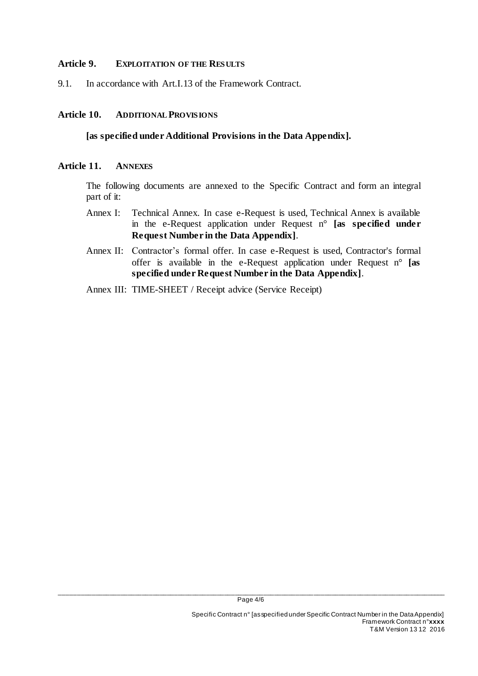### **Article 9. EXPLOITATION OF THE RESULTS**

9.1. In accordance with Art.I.13 of the Framework Contract.

### **Article 10. ADDITIONAL PROVISIONS**

#### **[as specified under Additional Provisions in the Data Appendix].**

#### **Article 11. ANNEXES**

The following documents are annexed to the Specific Contract and form an integral part of it:

- Annex I: Technical Annex. In case e-Request is used, Technical Annex is available in the e-Request application under Request n° **[as specified under Request Number in the Data Appendix]**.
- Annex II: Contractor's formal offer. In case e-Request is used, Contractor's formal offer is available in the e-Request application under Request n° **[as specified under Request Number in the Data Appendix]**.
- Annex III: TIME-SHEET / Receipt advice (Service Receipt)

\_\_\_\_\_\_\_\_\_\_\_\_\_\_\_\_\_\_\_\_\_\_\_\_\_\_\_\_\_\_\_\_\_\_\_\_\_\_\_\_\_\_\_\_\_\_\_\_\_\_\_\_\_\_\_\_\_\_\_\_\_\_\_\_\_\_\_\_\_\_\_\_\_\_\_\_\_\_\_\_\_\_\_\_\_\_\_\_\_\_\_\_\_\_\_\_\_\_\_\_\_\_\_\_\_\_\_\_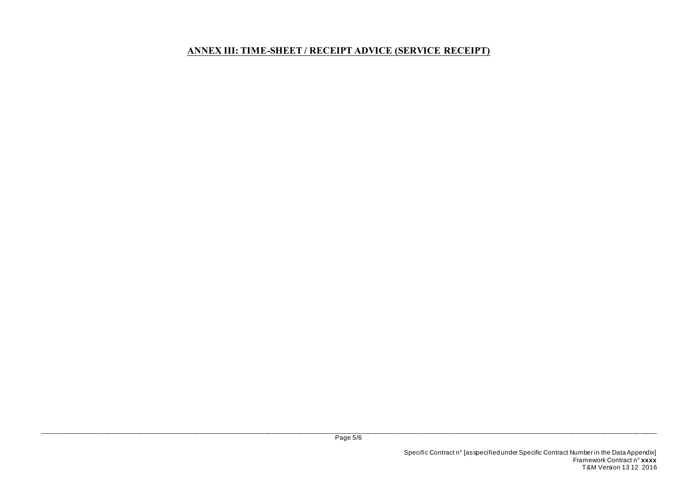## **ANNEX III: TIME-SHEET / RECEIPT ADVICE (SERVICE RECEIPT)**